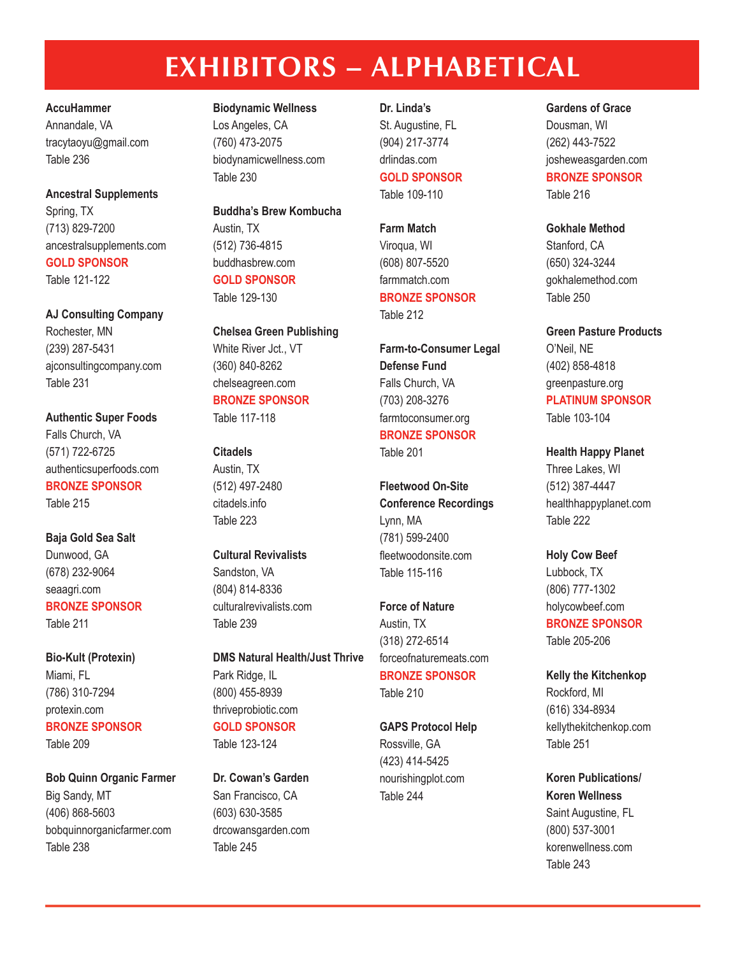# **EXHIBITORS – ALPHABETICAL**

#### **AccuHammer**

Annandale, VA tracytaoyu@gmail.com Table 236

# **Ancestral Supplements**

Spring, TX (713) 829-7200 ancestralsupplements.com **GOLD SPONSOR** Table 121-122

#### **AJ Consulting Company**

Rochester, MN (239) 287-5431 ajconsultingcompany.com Table 231

**Authentic Super Foods** Falls Church, VA (571) 722-6725 authenticsuperfoods.com **BRONZE SPONSOR** Table 215

**Baja Gold Sea Salt** Dunwood, GA (678) 232-9064 seaagri.com **BRONZE SPONSOR** Table 211

**Bio-Kult (Protexin)** Miami, FL (786) 310-7294 protexin.com **BRONZE SPONSOR**

Table 209

**Bob Quinn Organic Farmer** Big Sandy, MT (406) 868-5603 bobquinnorganicfarmer.com Table 238

**Biodynamic Wellness** Los Angeles, CA (760) 473-2075 biodynamicwellness.com Table 230

**Buddha's Brew Kombucha** Austin, TX (512) 736-4815 buddhasbrew.com **GOLD SPONSOR** Table 129-130

**Chelsea Green Publishing** White River Jct., VT (360) 840-8262 chelseagreen.com **BRONZE SPONSOR**

Table 117-118

## **Citadels**

Austin, TX (512) 497-2480 citadels.info Table 223

## **Cultural Revivalists** Sandston, VA (804) 814-8336 culturalrevivalists.com

Table 239

**DMS Natural Health/Just Thrive** Park Ridge, IL (800) 455-8939 thriveprobiotic.com

#### **GOLD SPONSOR** Table 123-124

**Dr. Cowan's Garden** San Francisco, CA (603) 630-3585 drcowansgarden.com Table 245

**Dr. Linda's** St. Augustine, FL (904) 217-3774 drlindas.com **GOLD SPONSOR** Table 109-110

**Farm Match** Viroqua, WI (608) 807-5520 farmmatch.com **BRONZE SPONSOR** Table 212

**Farm-to-Consumer Legal Defense Fund** Falls Church, VA (703) 208-3276 farmtoconsumer.org **BRONZE SPONSOR** Table 201

**Fleetwood On-Site Conference Recordings** Lynn, MA (781) 599-2400 fleetwoodonsite.com Table 115-116

**Force of Nature** Austin, TX (318) 272-6514 forceofnaturemeats.com **BRONZE SPONSOR** Table 210

#### **GAPS Protocol Help**

Rossville, GA (423) 414-5425 nourishingplot.com Table 244

#### **Gardens of Grace**

Dousman, WI (262) 443-7522 josheweasgarden.com **BRONZE SPONSOR** Table 216

#### **Gokhale Method**

Stanford, CA (650) 324-3244 gokhalemethod.com Table 250

#### **Green Pasture Products**

O'Neil, NE (402) 858-4818 greenpasture.org **PLATINUM SPONSOR** Table 103-104

#### **Health Happy Planet**

Three Lakes, WI (512) 387-4447 healthhappyplanet.com Table 222

**Holy Cow Beef**

Lubbock, TX (806) 777-1302 holycowbeef.com **BRONZE SPONSOR** Table 205-206

**Kelly the Kitchenkop** Rockford, MI (616) 334-8934 kellythekitchenkop.com Table 251

**Koren Publications/ Koren Wellness** Saint Augustine, FL (800) 537-3001 korenwellness.com

Table 243